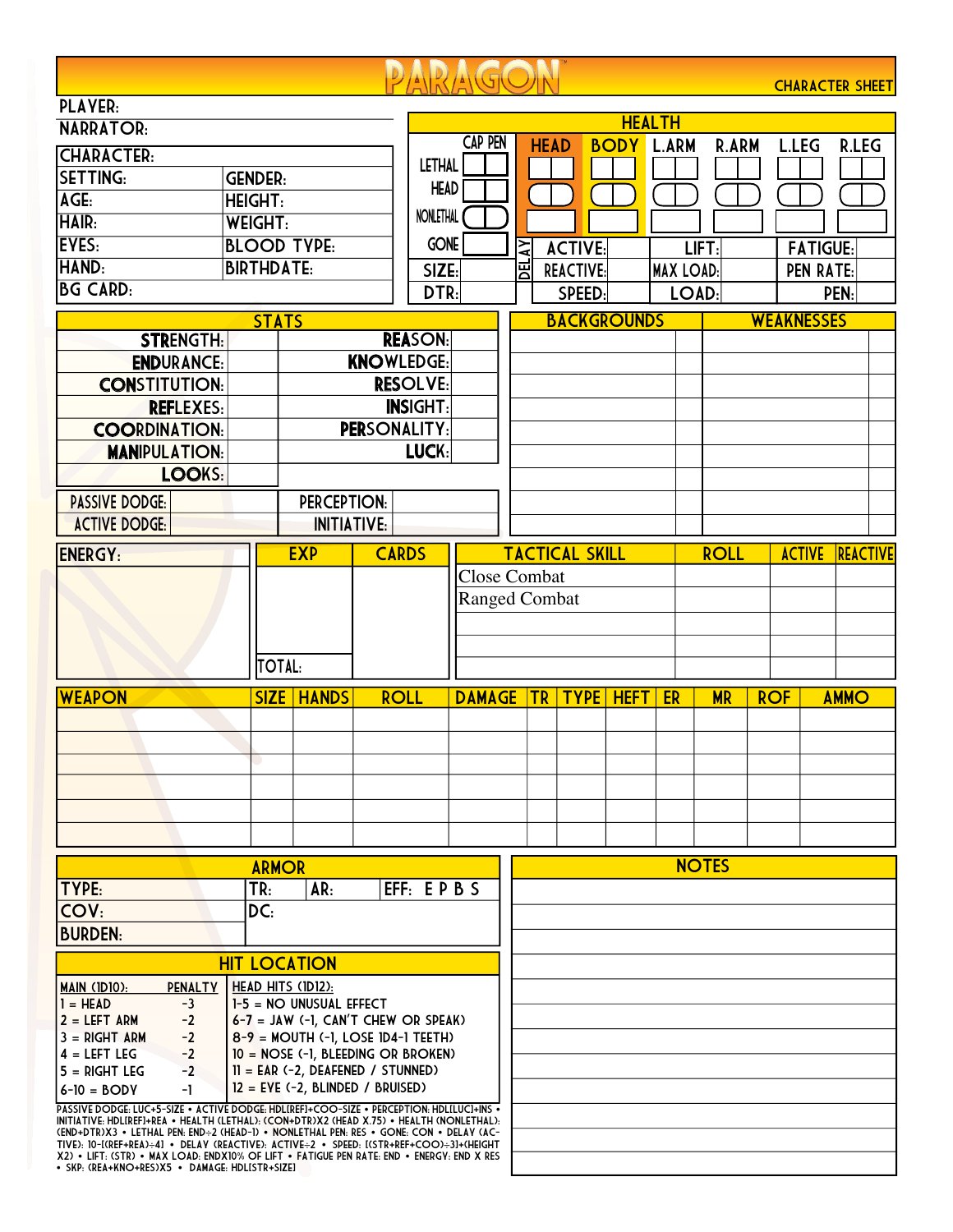|                                                                                                                                                                                     |                                                                           |                     |              |                  |                      |        |                       |             |                    |                  |              |                   |                  | <b>CHARACTER SHEET</b> |
|-------------------------------------------------------------------------------------------------------------------------------------------------------------------------------------|---------------------------------------------------------------------------|---------------------|--------------|------------------|----------------------|--------|-----------------------|-------------|--------------------|------------------|--------------|-------------------|------------------|------------------------|
| <b>PLAYER:</b>                                                                                                                                                                      |                                                                           |                     |              |                  |                      |        |                       |             |                    |                  |              |                   |                  |                        |
| <b>NARRATOR:</b>                                                                                                                                                                    |                                                                           |                     |              |                  | <b>HEALTH</b>        |        |                       |             |                    |                  |              |                   |                  |                        |
| <b>CHARACTER:</b>                                                                                                                                                                   |                                                                           |                     |              |                  | <b>CAP PEN</b>       |        | <b>HEAD</b>           |             | <b>BODY</b>        | L.ARM            | <b>R.ARM</b> |                   | <b>L.LEG</b>     | <b>R.LEG</b>           |
| <b>SETTING:</b><br><b>GENDER:</b>                                                                                                                                                   |                                                                           |                     |              | <b>LETHAL</b>    |                      |        |                       |             |                    |                  |              |                   |                  |                        |
| AGE:<br><b>HEIGHT:</b>                                                                                                                                                              |                                                                           |                     |              | <b>HEAD</b>      |                      |        |                       |             |                    |                  |              |                   |                  |                        |
| <b>HAIR:</b><br><b>WEIGHT:</b>                                                                                                                                                      |                                                                           |                     |              | <b>NONLETHAL</b> |                      |        |                       |             |                    |                  |              |                   |                  |                        |
| EYES:<br><b>BLOOD TYPE:</b>                                                                                                                                                         |                                                                           |                     |              | <b>GONE</b>      |                      |        |                       |             |                    |                  |              |                   |                  |                        |
| HAND:                                                                                                                                                                               |                                                                           |                     |              |                  |                      | $\geq$ | <b>ACTIVE:</b>        |             |                    |                  | LIFT:        |                   | <b>FATIGUE:</b>  |                        |
| <b>BIRTHDATE:</b>                                                                                                                                                                   |                                                                           |                     |              | SIZE:<br>DTR:    |                      | 핑      | <b>REACTIVE:</b>      |             |                    | <b>MAX LOAD:</b> |              |                   | <b>PEN RATE:</b> |                        |
|                                                                                                                                                                                     | <b>BG CARD:</b>                                                           |                     |              |                  |                      |        |                       | SPEED:      |                    | LOAD:            |              |                   |                  | PEN:                   |
|                                                                                                                                                                                     | <b>STATS</b>                                                              |                     |              |                  |                      |        |                       |             | <b>BACKGROUNDS</b> |                  |              | <b>WEAKNESSES</b> |                  |                        |
| <b>STRENGTH:</b>                                                                                                                                                                    |                                                                           |                     |              | <b>REASON:</b>   |                      |        |                       |             |                    |                  |              |                   |                  |                        |
| <b>ENDURANCE:</b>                                                                                                                                                                   | <b>KNOWLEDGE:</b>                                                         |                     |              |                  |                      |        |                       |             |                    |                  |              |                   |                  |                        |
| <b>CONSTITUTION:</b>                                                                                                                                                                |                                                                           | <b>RESOLVE:</b>     |              |                  |                      |        |                       |             |                    |                  |              |                   |                  |                        |
| <b>REFLEXES:</b>                                                                                                                                                                    |                                                                           |                     |              | <b>INSIGHT:</b>  |                      |        |                       |             |                    |                  |              |                   |                  |                        |
| <b>COORDINATION:</b>                                                                                                                                                                |                                                                           | <b>PERSONALITY:</b> |              |                  |                      |        |                       |             |                    |                  |              |                   |                  |                        |
| <b>MANIPULATION:</b>                                                                                                                                                                |                                                                           |                     |              | LUCK:            |                      |        |                       |             |                    |                  |              |                   |                  |                        |
| LOOKS:                                                                                                                                                                              |                                                                           |                     |              |                  |                      |        |                       |             |                    |                  |              |                   |                  |                        |
| <b>PASSIVE DODGE:</b>                                                                                                                                                               |                                                                           | <b>PERCEPTION:</b>  |              |                  |                      |        |                       |             |                    |                  |              |                   |                  |                        |
| <b>ACTIVE DODGE:</b>                                                                                                                                                                |                                                                           | <b>INITIATIVE:</b>  |              |                  |                      |        |                       |             |                    |                  |              |                   |                  |                        |
| <b>ENERGY:</b>                                                                                                                                                                      |                                                                           | <b>EXP</b>          | <b>CARDS</b> |                  |                      |        | <b>TACTICAL SKILL</b> |             |                    |                  | <b>ROLL</b>  |                   | <b>ACTIVE</b>    | REACTIVE               |
|                                                                                                                                                                                     |                                                                           |                     |              |                  | <b>Close Combat</b>  |        |                       |             |                    |                  |              |                   |                  |                        |
|                                                                                                                                                                                     |                                                                           |                     |              |                  | <b>Ranged Combat</b> |        |                       |             |                    |                  |              |                   |                  |                        |
|                                                                                                                                                                                     |                                                                           |                     |              |                  |                      |        |                       |             |                    |                  |              |                   |                  |                        |
|                                                                                                                                                                                     |                                                                           |                     |              |                  |                      |        |                       |             |                    |                  |              |                   |                  |                        |
|                                                                                                                                                                                     | <b>TOTAL:</b>                                                             |                     |              |                  |                      |        |                       |             |                    |                  |              |                   |                  |                        |
|                                                                                                                                                                                     |                                                                           |                     |              |                  |                      |        |                       |             |                    |                  |              |                   |                  |                        |
| <b>WEAPON</b>                                                                                                                                                                       | <b>SIZE</b>                                                               | <b>HANDS</b>        | <b>ROLL</b>  |                  | <b>DAMAGE</b>        |        | <b>TR</b>             | <b>TYPE</b> | <b>HEFT</b>        | ER               | <b>MR</b>    | <b>ROF</b>        |                  | <b>AMMO</b>            |
|                                                                                                                                                                                     |                                                                           |                     |              |                  |                      |        |                       |             |                    |                  |              |                   |                  |                        |
|                                                                                                                                                                                     |                                                                           |                     |              |                  |                      |        |                       |             |                    |                  |              |                   |                  |                        |
|                                                                                                                                                                                     |                                                                           |                     |              |                  |                      |        |                       |             |                    |                  |              |                   |                  |                        |
|                                                                                                                                                                                     |                                                                           |                     |              |                  |                      |        |                       |             |                    |                  |              |                   |                  |                        |
|                                                                                                                                                                                     |                                                                           |                     |              |                  |                      |        |                       |             |                    |                  |              |                   |                  |                        |
|                                                                                                                                                                                     |                                                                           |                     |              |                  |                      |        |                       |             |                    |                  |              |                   |                  |                        |
|                                                                                                                                                                                     | <b>ARMOR</b>                                                              |                     |              |                  |                      |        |                       |             |                    |                  | <b>NOTES</b> |                   |                  |                        |
| TYPE:                                                                                                                                                                               | TR <sub>1</sub>                                                           | AR:                 |              | EFF: EPBS        |                      |        |                       |             |                    |                  |              |                   |                  |                        |
| COV:                                                                                                                                                                                | DC:                                                                       |                     |              |                  |                      |        |                       |             |                    |                  |              |                   |                  |                        |
| <b>BURDEN:</b>                                                                                                                                                                      |                                                                           |                     |              |                  |                      |        |                       |             |                    |                  |              |                   |                  |                        |
|                                                                                                                                                                                     |                                                                           |                     |              |                  |                      |        |                       |             |                    |                  |              |                   |                  |                        |
|                                                                                                                                                                                     |                                                                           | <b>HIT LOCATION</b> |              |                  |                      |        |                       |             |                    |                  |              |                   |                  |                        |
| <b>PENALTY</b><br>MAIN (IDIO):<br>$1 = HEAD$<br>$-3$                                                                                                                                | HEAD HITS (IDI2):<br>$1-5 = NO UNUSUAL EFFECT$                            |                     |              |                  |                      |        |                       |             |                    |                  |              |                   |                  |                        |
| 2 = LEFT ARM<br>$-2$                                                                                                                                                                | $6-7$ = JAW (-1, CAN'T CHEW OR SPEAK)                                     |                     |              |                  |                      |        |                       |             |                    |                  |              |                   |                  |                        |
| $3 = RIGHT ARM$<br>$-2$                                                                                                                                                             | $8-9$ = MOUTH (-1, LOSE 1D4-1 TEETH)                                      |                     |              |                  |                      |        |                       |             |                    |                  |              |                   |                  |                        |
| $-2$<br>$4 = LEFT LEG$                                                                                                                                                              | 10 = NOSE (-1, BLEEDING OR BROKEN)                                        |                     |              |                  |                      |        |                       |             |                    |                  |              |                   |                  |                        |
| $5 = RIGHT LEG$<br>$-2$<br>-1                                                                                                                                                       | $II = EAR (-2, DEAFENED / STUNNED)$<br>$12 = EVE$ (-2, BLINDED / BRUISED) |                     |              |                  |                      |        |                       |             |                    |                  |              |                   |                  |                        |
| $6-10 = BODY$<br>PASSIVE DODGE: LUC+5-SIZE . ACTIVE DODGE: HDLIREFI+COO-SIZE . PERCEPTION: HDLILUCI+INS .                                                                           |                                                                           |                     |              |                  |                      |        |                       |             |                    |                  |              |                   |                  |                        |
| INITIATIVE: HDLIREFI+REA • HEALTH (LETHAL): (CON+DTR)X2 (HEAD X.75) • HEALTH (NONLETHAL):<br>(END+DTR)X3 . LETHAL PEN: END+2 (HEAD-1) . NONLETHAL PEN: RES . GONE: CON . DELAY (AC- |                                                                           |                     |              |                  |                      |        |                       |             |                    |                  |              |                   |                  |                        |

(END+DTR)X3 • LETHAL PEN: END÷2 (HEAD-1) • NONLETHAL PEN: RES • GONE: CON • DELAY (AC-<br>TIVE): 10-(RRE+REA)÷4] • DELAY (REACTIVE): ACTIVE÷2 • SPEED: [(STR+REF+COO)÷3]+(HEIGHT<br>X2) • LIFT: (STR) • MAX LOAD: ENDX10% OF LIFT •